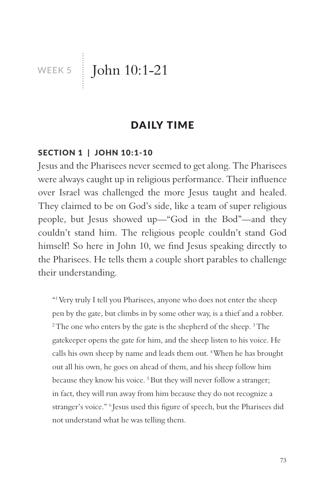WEEK 5 **John 10:1-21** 

## DAILY TIME

#### SECTION 1 | JOHN 10:1-10

Jesus and the Pharisees never seemed to get along. The Pharisees were always caught up in religious performance. Their influence over Israel was challenged the more Jesus taught and healed. They claimed to be on God's side, like a team of super religious people, but Jesus showed up—"God in the Bod"—and they couldn't stand him. The religious people couldn't stand God himself! So here in John 10, we find Jesus speaking directly to the Pharisees. He tells them a couple short parables to challenge their understanding.

"1 Very truly I tell you Pharisees, anyone who does not enter the sheep pen by the gate, but climbs in by some other way, is a thief and a robber.  $2$ <sup>2</sup> The one who enters by the gate is the shepherd of the sheep.  $3$ <sup>3</sup> The gatekeeper opens the gate for him, and the sheep listen to his voice. He calls his own sheep by name and leads them out. <sup>4</sup> When he has brought out all his own, he goes on ahead of them, and his sheep follow him because they know his voice. 5 But they will never follow a stranger; in fact, they will run away from him because they do not recognize a stranger's voice." 6 Jesus used this figure of speech, but the Pharisees did not understand what he was telling them.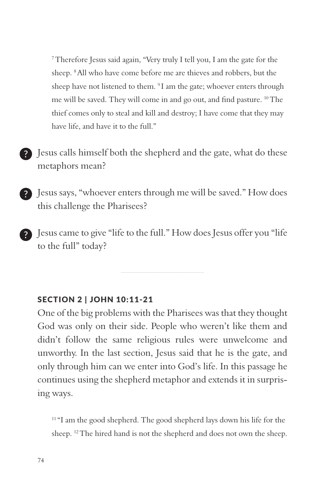7 Therefore Jesus said again, "Very truly I tell you, I am the gate for the sheep. 8 All who have come before me are thieves and robbers, but the sheep have not listened to them. <sup>9</sup> I am the gate; whoever enters through me will be saved. They will come in and go out, and find pasture. 10 The thief comes only to steal and kill and destroy; I have come that they may have life, and have it to the full."

- Jesus calls himself both the shepherd and the gate, what do these metaphors mean?
- Jesus says, "whoever enters through me will be saved." How does this challenge the Pharisees?
- Jesus came to give "life to the full." How does Jesus offer you "life to the full" today?

#### SECTION 2 | JOHN 10:11-21

One of the big problems with the Pharisees was that they thought God was only on their side. People who weren't like them and didn't follow the same religious rules were unwelcome and unworthy. In the last section, Jesus said that he is the gate, and only through him can we enter into God's life. In this passage he continues using the shepherd metaphor and extends it in surprising ways.

<sup>11</sup> "I am the good shepherd. The good shepherd lays down his life for the sheep. 12 The hired hand is not the shepherd and does not own the sheep.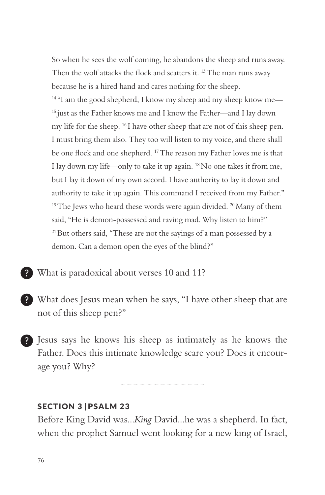So when he sees the wolf coming, he abandons the sheep and runs away. Then the wolf attacks the flock and scatters it. 13 The man runs away because he is a hired hand and cares nothing for the sheep.

<sup>14</sup> "I am the good shepherd; I know my sheep and my sheep know me— <sup>15</sup> just as the Father knows me and I know the Father—and I lay down my life for the sheep. 16 I have other sheep that are not of this sheep pen. I must bring them also. They too will listen to my voice, and there shall be one flock and one shepherd. 17 The reason my Father loves me is that I lay down my life—only to take it up again. 18 No one takes it from me, but I lay it down of my own accord. I have authority to lay it down and authority to take it up again. This command I received from my Father." <sup>19</sup> The Jews who heard these words were again divided. <sup>20</sup> Many of them said, "He is demon-possessed and raving mad. Why listen to him?" <sup>21</sup> But others said, "These are not the sayings of a man possessed by a demon. Can a demon open the eyes of the blind?"

**P** What is paradoxical about verses 10 and 11?



What does Jesus mean when he says, "I have other sheep that are not of this sheep pen?"

Jesus says he knows his sheep as intimately as he knows the Father. Does this intimate knowledge scare you? Does it encourage you? Why?

### SECTION 3 | PSALM 23

Before King David was...*King* David...he was a shepherd. In fact, when the prophet Samuel went looking for a new king of Israel,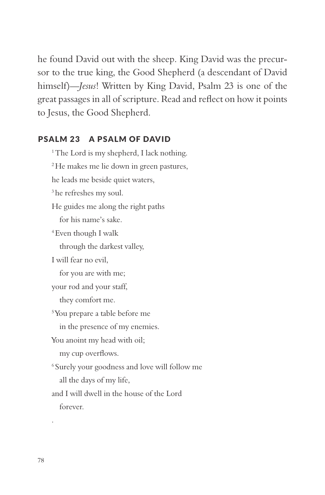he found David out with the sheep. King David was the precursor to the true king, the Good Shepherd (a descendant of David himself)—*Jesus*! Written by King David, Psalm 23 is one of the great passages in all of scripture. Read and reflect on how it points to Jesus, the Good Shepherd.

#### PSALM 23 A PSALM OF DAVID

<sup>1</sup> The Lord is my shepherd, I lack nothing. <sup>2</sup>He makes me lie down in green pastures, he leads me beside quiet waters, <sup>3</sup> he refreshes my soul. He guides me along the right paths for his name's sake. 4 Even though I walk through the darkest valley, I will fear no evil, for you are with me; your rod and your staff, they comfort me. 5 You prepare a table before me in the presence of my enemies. You anoint my head with oil; my cup overflows. 6 Surely your goodness and love will follow me all the days of my life, and I will dwell in the house of the Lord forever. .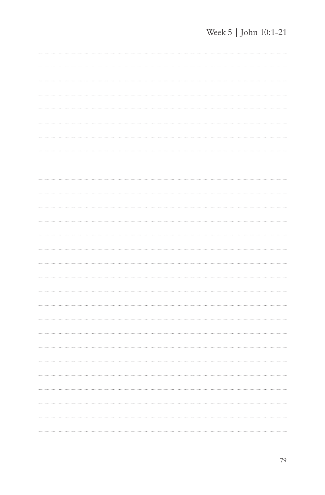| $\frac{1}{2}$ |
|---------------|
|               |
|               |
|               |
|               |
|               |
|               |
|               |
|               |
|               |
|               |
|               |
|               |
|               |
|               |
|               |
|               |
|               |
|               |
|               |
|               |
|               |
|               |
|               |
|               |
|               |
|               |
|               |
|               |
|               |
|               |
|               |
|               |
|               |
|               |
|               |
|               |
|               |
|               |
|               |
|               |
|               |
|               |
|               |
|               |
|               |
|               |
|               |
|               |
|               |
|               |
|               |
|               |
|               |
|               |
|               |
|               |
|               |
|               |
|               |
|               |
|               |
|               |
|               |
|               |
|               |
|               |
|               |
|               |
|               |
|               |
|               |
|               |
|               |
|               |
|               |
|               |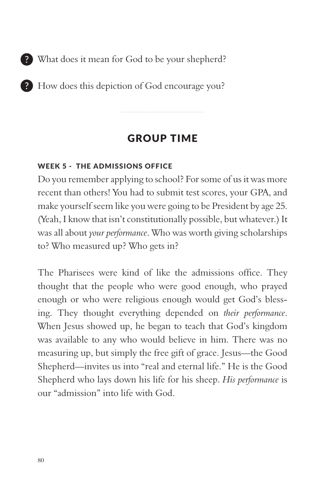What does it mean for God to be your shepherd?

How does this depiction of God encourage you?

# GROUP TIME

#### WEEK 5 - THE ADMISSIONS OFFICE

Do you remember applying to school? For some of us it was more recent than others! You had to submit test scores, your GPA, and make yourself seem like you were going to be President by age 25. (Yeah, I know that isn't constitutionally possible, but whatever.) It was all about *your performance*. Who was worth giving scholarships to? Who measured up? Who gets in?

The Pharisees were kind of like the admissions office. They thought that the people who were good enough, who prayed enough or who were religious enough would get God's blessing. They thought everything depended on *their performance*. When Jesus showed up, he began to teach that God's kingdom was available to any who would believe in him. There was no measuring up, but simply the free gift of grace. Jesus—the Good Shepherd—invites us into "real and eternal life." He is the Good Shepherd who lays down his life for his sheep. *His performance* is our "admission" into life with God.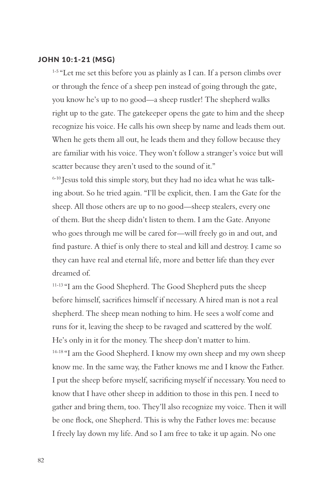#### JOHN 10:1-21 (MSG)

<sup>1-5</sup> "Let me set this before you as plainly as I can. If a person climbs over or through the fence of a sheep pen instead of going through the gate, you know he's up to no good—a sheep rustler! The shepherd walks right up to the gate. The gatekeeper opens the gate to him and the sheep recognize his voice. He calls his own sheep by name and leads them out. When he gets them all out, he leads them and they follow because they are familiar with his voice. They won't follow a stranger's voice but will scatter because they aren't used to the sound of it."

6-10 Jesus told this simple story, but they had no idea what he was talking about. So he tried again. "I'll be explicit, then. I am the Gate for the sheep. All those others are up to no good—sheep stealers, every one of them. But the sheep didn't listen to them. I am the Gate. Anyone who goes through me will be cared for—will freely go in and out, and find pasture. A thief is only there to steal and kill and destroy. I came so they can have real and eternal life, more and better life than they ever dreamed of.

11-13 "I am the Good Shepherd. The Good Shepherd puts the sheep before himself, sacrifices himself if necessary. A hired man is not a real shepherd. The sheep mean nothing to him. He sees a wolf come and runs for it, leaving the sheep to be ravaged and scattered by the wolf. He's only in it for the money. The sheep don't matter to him. 14-18 "I am the Good Shepherd. I know my own sheep and my own sheep know me. In the same way, the Father knows me and I know the Father. I put the sheep before myself, sacrificing myself if necessary. You need to know that I have other sheep in addition to those in this pen. I need to gather and bring them, too. They'll also recognize my voice. Then it will be one flock, one Shepherd. This is why the Father loves me: because I freely lay down my life. And so I am free to take it up again. No one